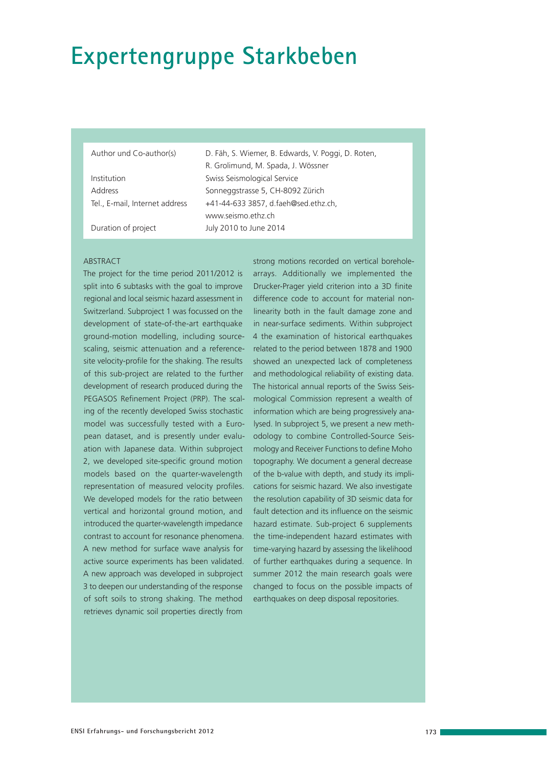# **Expertengruppe Starkbeben**

Institution Swiss Seismological Service

Author und Co-author(s) D. Fäh, S. Wiemer, B. Edwards, V. Poggi, D. Roten, R. Grolimund, M. Spada, J. Wössner Address Sonneggstrasse 5, CH-8092 Zürich Tel., E-mail, Internet address +41-44-633 3857, d.faeh@sed.ethz.ch, www.seismo.ethz.ch Duration of project July 2010 to June 2014

#### **ABSTRACT**

The project for the time period 2011/2012 is split into 6 subtasks with the goal to improve regional and local seismic hazard assessment in Switzerland. Subproject 1 was focussed on the development of state-of-the-art earthquake ground-motion modelling, including sourcescaling, seismic attenuation and a referencesite velocity-profile for the shaking. The results of this sub-project are related to the further development of research produced during the PEGASOS Refinement Project (PRP). The scaling of the recently developed Swiss stochastic model was successfully tested with a European dataset, and is presently under evaluation with Japanese data. Within subproject 2, we developed site-specific ground motion models based on the quarter-wavelength representation of measured velocity profiles. We developed models for the ratio between vertical and horizontal ground motion, and introduced the quarter-wavelength impedance contrast to account for resonance phenomena. A new method for surface wave analysis for active source experiments has been validated. A new approach was developed in subproject 3 to deepen our understanding of the response of soft soils to strong shaking. The method retrieves dynamic soil properties directly from

strong motions recorded on vertical boreholearrays. Additionally we implemented the Drucker-Prager yield criterion into a 3D finite difference code to account for material nonlinearity both in the fault damage zone and in near-surface sediments. Within subproject 4 the examination of historical earthquakes related to the period between 1878 and 1900 showed an unexpected lack of completeness and methodological reliability of existing data. The historical annual reports of the Swiss Seismological Commission represent a wealth of information which are being progressively analysed. In subproject 5, we present a new methodology to combine Controlled-Source Seismology and Receiver Functions to define Moho topography. We document a general decrease of the b-value with depth, and study its implications for seismic hazard. We also investigate the resolution capability of 3D seismic data for fault detection and its influence on the seismic hazard estimate. Sub-project 6 supplements the time-independent hazard estimates with time-varying hazard by assessing the likelihood of further earthquakes during a sequence. In summer 2012 the main research goals were changed to focus on the possible impacts of earthquakes on deep disposal repositories.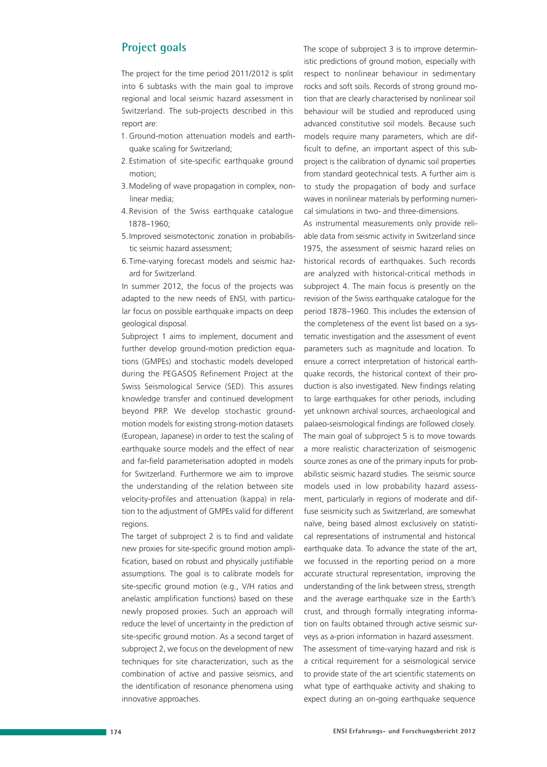# **Project goals**

The project for the time period 2011/2012 is split into 6 subtasks with the main goal to improve regional and local seismic hazard assessment in Switzerland. The sub-projects described in this report are:

- 1. Ground-motion attenuation models and earthquake scaling for Switzerland;
- 2. Estimation of site-specific earthquake ground motion;
- 3. Modeling of wave propagation in complex, nonlinear media;
- 4. Revision of the Swiss earthquake catalogue 1878–1960;
- 5. Improved seismotectonic zonation in probabilistic seismic hazard assessment;
- 6. Time-varying forecast models and seismic hazard for Switzerland.

In summer 2012, the focus of the projects was adapted to the new needs of ENSI, with particular focus on possible earthquake impacts on deep geological disposal.

Subproject 1 aims to implement, document and further develop ground-motion prediction equations (GMPEs) and stochastic models developed during the PEGASOS Refinement Project at the Swiss Seismological Service (SED). This assures knowledge transfer and continued development beyond PRP. We develop stochastic groundmotion models for existing strong-motion datasets (European, Japanese) in order to test the scaling of earthquake source models and the effect of near and far-field parameterisation adopted in models for Switzerland. Furthermore we aim to improve the understanding of the relation between site velocity-profiles and attenuation (kappa) in relation to the adjustment of GMPEs valid for different regions.

The target of subproject 2 is to find and validate new proxies for site-specific ground motion amplification, based on robust and physically justifiable assumptions. The goal is to calibrate models for site-specific ground motion (e.g., V/H ratios and anelastic amplification functions) based on these newly proposed proxies. Such an approach will reduce the level of uncertainty in the prediction of site-specific ground motion. As a second target of subproject 2, we focus on the development of new techniques for site characterization, such as the combination of active and passive seismics, and the identification of resonance phenomena using innovative approaches.

The scope of subproject 3 is to improve deterministic predictions of ground motion, especially with respect to nonlinear behaviour in sedimentary rocks and soft soils. Records of strong ground motion that are clearly characterised by nonlinear soil behaviour will be studied and reproduced using advanced constitutive soil models. Because such models require many parameters, which are difficult to define, an important aspect of this subproject is the calibration of dynamic soil properties from standard geotechnical tests. A further aim is to study the propagation of body and surface waves in nonlinear materials by performing numerical simulations in two- and three-dimensions.

As instrumental measurements only provide reliable data from seismic activity in Switzerland since 1975, the assessment of seismic hazard relies on historical records of earthquakes. Such records are analyzed with historical-critical methods in subproject 4. The main focus is presently on the revision of the Swiss earthquake catalogue for the period 1878–1960. This includes the extension of the completeness of the event list based on a systematic investigation and the assessment of event parameters such as magnitude and location. To ensure a correct interpretation of historical earthquake records, the historical context of their production is also investigated. New findings relating to large earthquakes for other periods, including yet unknown archival sources, archaeological and palaeo-seismological findings are followed closely. The main goal of subproject 5 is to move towards a more realistic characterization of seismogenic source zones as one of the primary inputs for probabilistic seismic hazard studies. The seismic source models used in low probability hazard assessment, particularly in regions of moderate and diffuse seismicity such as Switzerland, are somewhat naïve, being based almost exclusively on statistical representations of instrumental and historical earthquake data. To advance the state of the art, we focussed in the reporting period on a more accurate structural representation, improving the understanding of the link between stress, strength and the average earthquake size in the Earth's crust, and through formally integrating information on faults obtained through active seismic surveys as a-priori information in hazard assessment. The assessment of time-varying hazard and risk is a critical requirement for a seismological service to provide state of the art scientific statements on what type of earthquake activity and shaking to expect during an on-going earthquake sequence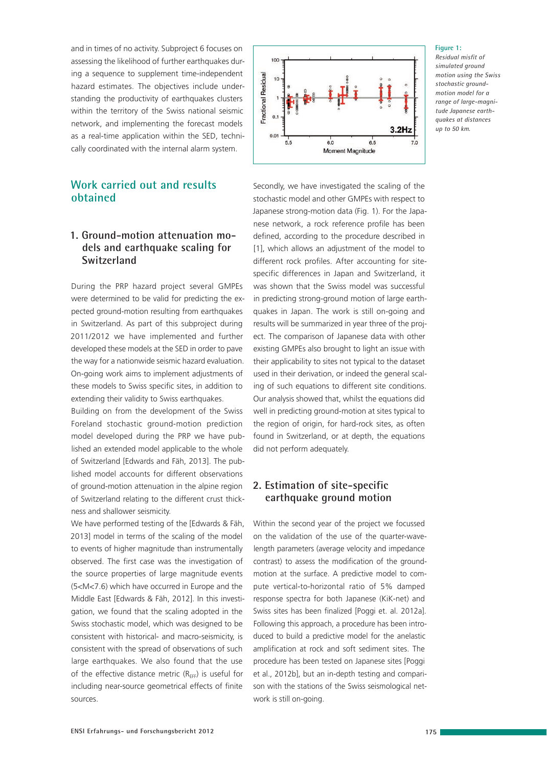and in times of no activity. Subproject 6 focuses on assessing the likelihood of further earthquakes during a sequence to supplement time-independent hazard estimates. The objectives include understanding the productivity of earthquakes clusters within the territory of the Swiss national seismic network, and implementing the forecast models as a real-time application within the SED, technically coordinated with the internal alarm system.

## **Work carried out and results obtained**

### **1. Ground-motion attenuation models and earthquake scaling for Switzerland**

During the PRP hazard project several GMPEs were determined to be valid for predicting the expected ground-motion resulting from earthquakes in Switzerland. As part of this subproject during 2011/2012 we have implemented and further developed these models at the SED in order to pave the way for a nationwide seismic hazard evaluation. On-going work aims to implement adjustments of these models to Swiss specific sites, in addition to extending their validity to Swiss earthquakes.

Building on from the development of the Swiss Foreland stochastic ground-motion prediction model developed during the PRP we have published an extended model applicable to the whole of Switzerland [Edwards and Fäh, 2013]. The published model accounts for different observations of ground-motion attenuation in the alpine region of Switzerland relating to the different crust thickness and shallower seismicity.

We have performed testing of the [Edwards & Fäh, 2013] model in terms of the scaling of the model to events of higher magnitude than instrumentally observed. The first case was the investigation of the source properties of large magnitude events (5<M<7.6) which have occurred in Europe and the Middle East [Edwards & Fäh, 2012]. In this investigation, we found that the scaling adopted in the Swiss stochastic model, which was designed to be consistent with historical- and macro-seismicity, is consistent with the spread of observations of such large earthquakes. We also found that the use of the effective distance metric ( $R_{\text{EFF}}$ ) is useful for including near-source geometrical effects of finite sources.



#### **Figure 1:**

*Residual misfit of simulated ground motion using the Swiss stochastic groundmotion model for a range of large-magnitude Japanese earthquakes at distances up to 50 km.*

Secondly, we have investigated the scaling of the stochastic model and other GMPEs with respect to Japanese strong-motion data (Fig. 1). For the Japanese network, a rock reference profile has been defined, according to the procedure described in [1], which allows an adjustment of the model to different rock profiles. After accounting for sitespecific differences in Japan and Switzerland, it was shown that the Swiss model was successful in predicting strong-ground motion of large earthquakes in Japan. The work is still on-going and results will be summarized in year three of the project. The comparison of Japanese data with other existing GMPEs also brought to light an issue with their applicability to sites not typical to the dataset used in their derivation, or indeed the general scaling of such equations to different site conditions. Our analysis showed that, whilst the equations did well in predicting ground-motion at sites typical to the region of origin, for hard-rock sites, as often found in Switzerland, or at depth, the equations did not perform adequately.

#### **2. Estimation of site-specific earthquake ground motion**

Within the second year of the project we focussed on the validation of the use of the quarter-wavelength parameters (average velocity and impedance contrast) to assess the modification of the groundmotion at the surface. A predictive model to compute vertical-to-horizontal ratio of 5% damped response spectra for both Japanese (KiK-net) and Swiss sites has been finalized [Poggi et. al. 2012a]. Following this approach, a procedure has been introduced to build a predictive model for the anelastic amplification at rock and soft sediment sites. The procedure has been tested on Japanese sites [Poggi et al., 2012b], but an in-depth testing and comparison with the stations of the Swiss seismological network is still on-going.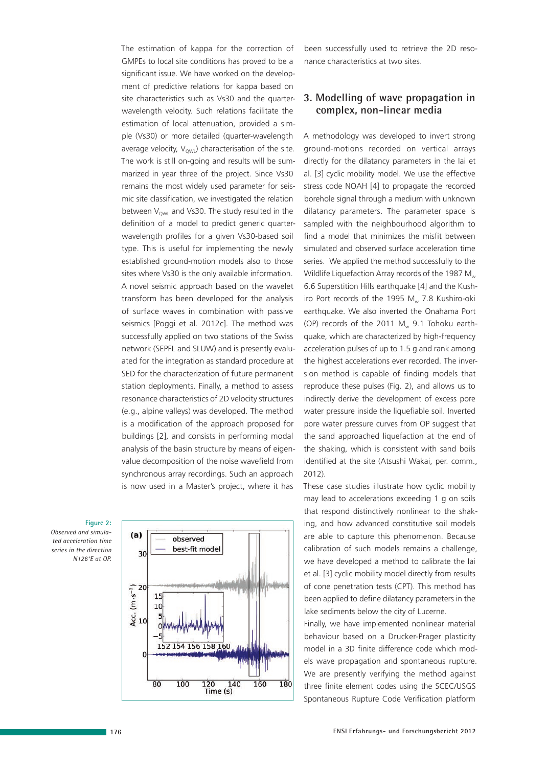The estimation of kappa for the correction of GMPEs to local site conditions has proved to be a significant issue. We have worked on the development of predictive relations for kappa based on site characteristics such as Vs30 and the quarterwavelength velocity. Such relations facilitate the estimation of local attenuation, provided a simple (Vs30) or more detailed (quarter-wavelength average velocity,  $V_{\text{QWL}}$  characterisation of the site. The work is still on-going and results will be summarized in year three of the project. Since Vs30 remains the most widely used parameter for seismic site classification, we investigated the relation between  $V_{\text{OM}}$  and Vs30. The study resulted in the definition of a model to predict generic quarterwavelength profiles for a given Vs30-based soil type. This is useful for implementing the newly established ground-motion models also to those sites where Vs30 is the only available information. A novel seismic approach based on the wavelet transform has been developed for the analysis of surface waves in combination with passive seismics [Poggi et al. 2012c]. The method was successfully applied on two stations of the Swiss network (SEPFL and SLUW) and is presently evaluated for the integration as standard procedure at SED for the characterization of future permanent station deployments. Finally, a method to assess resonance characteristics of 2D velocity structures (e.g., alpine valleys) was developed. The method is a modification of the approach proposed for buildings [2], and consists in performing modal analysis of the basin structure by means of eigenvalue decomposition of the noise wavefield from synchronous array recordings. Such an approach is now used in a Master's project, where it has

#### **Figure 2:**

*Observed and simulated acceleration time series in the direction N126°E at OP.*



been successfully used to retrieve the 2D resonance characteristics at two sites.

#### **3. Modelling of wave propagation in complex, non-linear media**

A methodology was developed to invert strong ground-motions recorded on vertical arrays directly for the dilatancy parameters in the Iai et al. [3] cyclic mobility model. We use the effective stress code NOAH [4] to propagate the recorded borehole signal through a medium with unknown dilatancy parameters. The parameter space is sampled with the neighbourhood algorithm to find a model that minimizes the misfit between simulated and observed surface acceleration time series. We applied the method successfully to the Wildlife Liquefaction Array records of the 1987  $M_{w}$ 6.6 Superstition Hills earthquake [4] and the Kushiro Port records of the 1995  $M_{w}$  7.8 Kushiro-oki earthquake. We also inverted the Onahama Port (OP) records of the 2011  $M_w$  9.1 Tohoku earthquake, which are characterized by high-frequency acceleration pulses of up to 1.5 g and rank among the highest accelerations ever recorded. The inversion method is capable of finding models that reproduce these pulses (Fig. 2), and allows us to indirectly derive the development of excess pore water pressure inside the liquefiable soil. Inverted pore water pressure curves from OP suggest that the sand approached liquefaction at the end of the shaking, which is consistent with sand boils identified at the site (Atsushi Wakai, per. comm., 2012).

These case studies illustrate how cyclic mobility may lead to accelerations exceeding 1 g on soils that respond distinctively nonlinear to the shaking, and how advanced constitutive soil models are able to capture this phenomenon. Because calibration of such models remains a challenge, we have developed a method to calibrate the Iai et al. [3] cyclic mobility model directly from results of cone penetration tests (CPT). This method has been applied to define dilatancy parameters in the lake sediments below the city of Lucerne.

Finally, we have implemented nonlinear material behaviour based on a Drucker-Prager plasticity model in a 3D finite difference code which models wave propagation and spontaneous rupture. We are presently verifying the method against three finite element codes using the SCEC/USGS Spontaneous Rupture Code Verification platform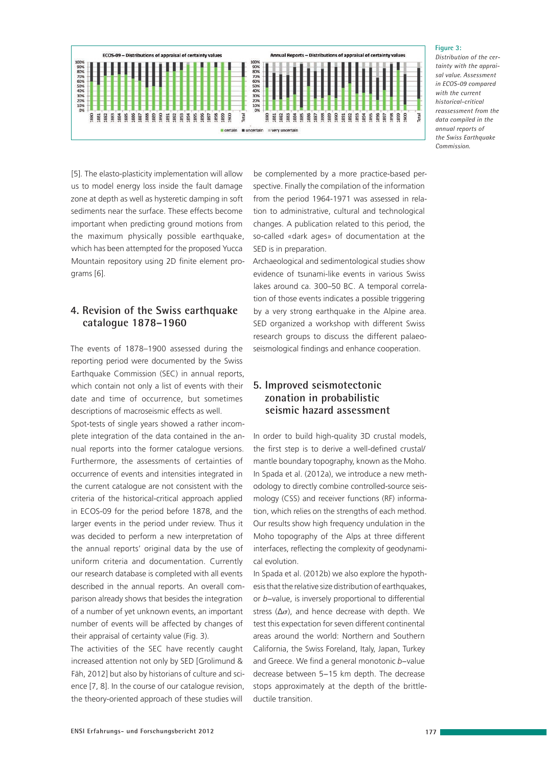

**Figure 3:** 

*Distribution of the certainty with the appraisal value. Assessment in ECOS-09 compared with the current historical-critical reassessment from the data compiled in the annual reports of the Swiss Earthquake Commission.*

[5]. The elasto-plasticity implementation will allow us to model energy loss inside the fault damage zone at depth as well as hysteretic damping in soft sediments near the surface. These effects become important when predicting ground motions from the maximum physically possible earthquake, which has been attempted for the proposed Yucca Mountain repository using 2D finite element programs [6].

#### **4. Revision of the Swiss earthquake catalogue 1878–1960**

The events of 1878–1900 assessed during the reporting period were documented by the Swiss Earthquake Commission (SEC) in annual reports, which contain not only a list of events with their date and time of occurrence, but sometimes descriptions of macroseismic effects as well. Spot-tests of single years showed a rather incom-

plete integration of the data contained in the annual reports into the former catalogue versions. Furthermore, the assessments of certainties of occurrence of events and intensities integrated in the current catalogue are not consistent with the criteria of the historical-critical approach applied in ECOS-09 for the period before 1878, and the larger events in the period under review. Thus it was decided to perform a new interpretation of the annual reports' original data by the use of uniform criteria and documentation. Currently our research database is completed with all events described in the annual reports. An overall comparison already shows that besides the integration of a number of yet unknown events, an important number of events will be affected by changes of their appraisal of certainty value (Fig. 3).

The activities of the SEC have recently caught increased attention not only by SED [Grolimund & Fäh, 2012] but also by historians of culture and science [7, 8]. In the course of our catalogue revision, the theory-oriented approach of these studies will

be complemented by a more practice-based perspective. Finally the compilation of the information from the period 1964-1971 was assessed in relation to administrative, cultural and technological changes. A publication related to this period, the so-called «dark ages» of documentation at the SED is in preparation.

Archaeological and sedimentological studies show evidence of tsunami-like events in various Swiss lakes around ca. 300–50 BC. A temporal correlation of those events indicates a possible triggering by a very strong earthquake in the Alpine area. SED organized a workshop with different Swiss research groups to discuss the different palaeoseismological findings and enhance cooperation.

### **5. Improved seismotectonic zonation in probabilistic seismic hazard assessment**

In order to build high-quality 3D crustal models, the first step is to derive a well-defined crustal/ mantle boundary topography, known as the Moho. In Spada et al. (2012a), we introduce a new methodology to directly combine controlled-source seismology (CSS) and receiver functions (RF) information, which relies on the strengths of each method. Our results show high frequency undulation in the Moho topography of the Alps at three different interfaces, reflecting the complexity of geodynamical evolution.

In Spada et al. (2012b) we also explore the hypothesis that the relative size distribution of earthquakes, or *b*−value, is inversely proportional to differential stress ( $\Delta \sigma$ ), and hence decrease with depth. We test this expectation for seven different continental areas around the world: Northern and Southern California, the Swiss Foreland, Italy, Japan, Turkey and Greece. We find a general monotonic *b*−value decrease between 5−15 km depth. The decrease stops approximately at the depth of the brittleductile transition.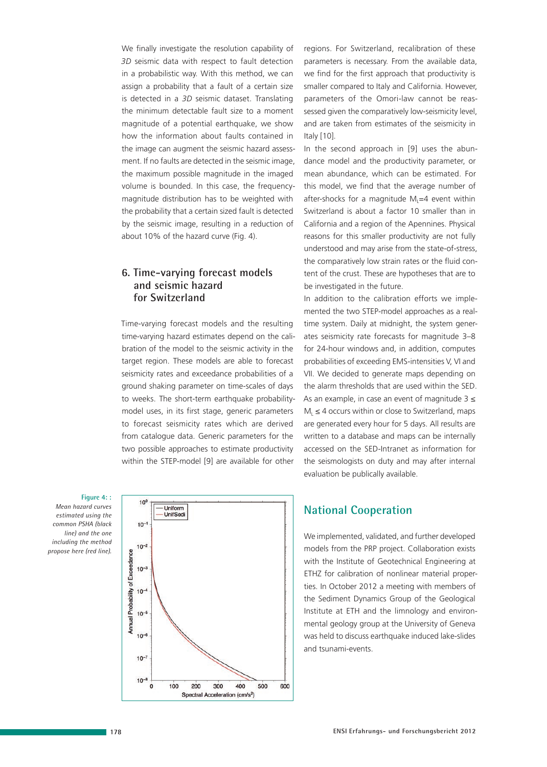We finally investigate the resolution capability of *3D* seismic data with respect to fault detection in a probabilistic way. With this method, we can assign a probability that a fault of a certain size is detected in a *3D* seismic dataset. Translating the minimum detectable fault size to a moment magnitude of a potential earthquake, we show how the information about faults contained in the image can augment the seismic hazard assessment. If no faults are detected in the seismic image, the maximum possible magnitude in the imaged volume is bounded. In this case, the frequencymagnitude distribution has to be weighted with the probability that a certain sized fault is detected by the seismic image, resulting in a reduction of about 10% of the hazard curve (Fig. 4).

#### **6. Time-varying forecast models and seismic hazard for Switzerland**

Time-varying forecast models and the resulting time-varying hazard estimates depend on the calibration of the model to the seismic activity in the target region. These models are able to forecast seismicity rates and exceedance probabilities of a ground shaking parameter on time-scales of days to weeks. The short-term earthquake probabilitymodel uses, in its first stage, generic parameters to forecast seismicity rates which are derived from catalogue data. Generic parameters for the two possible approaches to estimate productivity within the STEP-model [9] are available for other

**Figure 4: :**

*Mean hazard curves estimated using the common PSHA (black line) and the one including the method propose here (red line).* 



regions. For Switzerland, recalibration of these parameters is necessary. From the available data, we find for the first approach that productivity is smaller compared to Italy and California. However, parameters of the Omori-law cannot be reassessed given the comparatively low-seismicity level, and are taken from estimates of the seismicity in Italy [10].

In the second approach in [9] uses the abundance model and the productivity parameter, or mean abundance, which can be estimated. For this model, we find that the average number of after-shocks for a magnitude  $M<sub>l</sub>=4$  event within Switzerland is about a factor 10 smaller than in California and a region of the Apennines. Physical reasons for this smaller productivity are not fully understood and may arise from the state-of-stress, the comparatively low strain rates or the fluid content of the crust. These are hypotheses that are to be investigated in the future.

In addition to the calibration efforts we implemented the two STEP-model approaches as a realtime system. Daily at midnight, the system generates seismicity rate forecasts for magnitude 3–8 for 24-hour windows and, in addition, computes probabilities of exceeding EMS-intensities V, VI and VII. We decided to generate maps depending on the alarm thresholds that are used within the SED. As an example, in case an event of magnitude  $3 \leq$  $M<sub>1</sub> \leq 4$  occurs within or close to Switzerland, maps are generated every hour for 5 days. All results are written to a database and maps can be internally accessed on the SED-Intranet as information for the seismologists on duty and may after internal evaluation be publically available.

# **National Cooperation**

We implemented, validated, and further developed models from the PRP project. Collaboration exists with the Institute of Geotechnical Engineering at ETHZ for calibration of nonlinear material properties. In October 2012 a meeting with members of the Sediment Dynamics Group of the Geological Institute at ETH and the limnology and environmental geology group at the University of Geneva was held to discuss earthquake induced lake-slides and tsunami-events.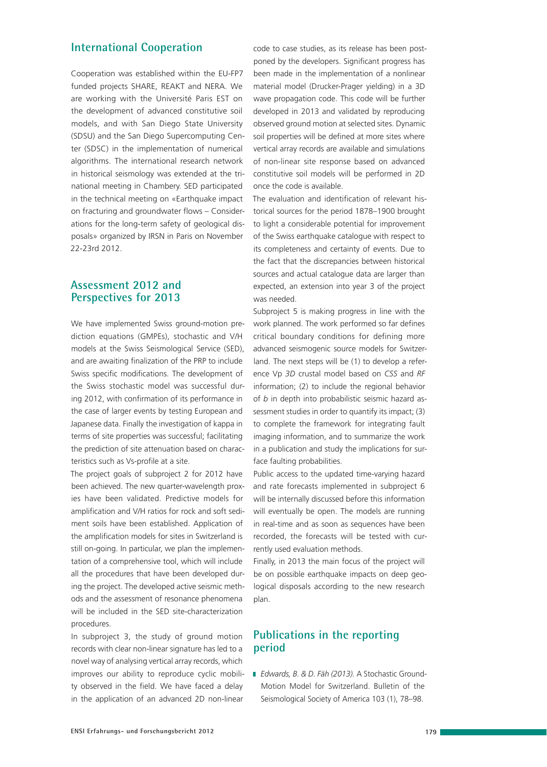## **International Cooperation**

Cooperation was established within the EU-FP7 funded projects SHARE, REAKT and NERA. We are working with the Université Paris EST on the development of advanced constitutive soil models, and with San Diego State University (SDSU) and the San Diego Supercomputing Center (SDSC) in the implementation of numerical algorithms. The international research network in historical seismology was extended at the trinational meeting in Chambery. SED participated in the technical meeting on «Earthquake impact on fracturing and groundwater flows – Considerations for the long-term safety of geological disposals» organized by IRSN in Paris on November 22-23rd 2012.

## **Assessment 2012 and Perspectives for 2013**

We have implemented Swiss ground-motion prediction equations (GMPEs), stochastic and V/H models at the Swiss Seismological Service (SED), and are awaiting finalization of the PRP to include Swiss specific modifications. The development of the Swiss stochastic model was successful during 2012, with confirmation of its performance in the case of larger events by testing European and Japanese data. Finally the investigation of kappa in terms of site properties was successful; facilitating the prediction of site attenuation based on characteristics such as Vs-profile at a site.

The project goals of subproject 2 for 2012 have been achieved. The new quarter-wavelength proxies have been validated. Predictive models for amplification and V/H ratios for rock and soft sediment soils have been established. Application of the amplification models for sites in Switzerland is still on-going. In particular, we plan the implementation of a comprehensive tool, which will include all the procedures that have been developed during the project. The developed active seismic methods and the assessment of resonance phenomena will be included in the SED site-characterization procedures.

In subproject 3, the study of ground motion records with clear non-linear signature has led to a novel way of analysing vertical array records, which improves our ability to reproduce cyclic mobility observed in the field. We have faced a delay in the application of an advanced 2D non-linear

code to case studies, as its release has been postponed by the developers. Significant progress has been made in the implementation of a nonlinear material model (Drucker-Prager yielding) in a 3D wave propagation code. This code will be further developed in 2013 and validated by reproducing observed ground motion at selected sites. Dynamic soil properties will be defined at more sites where vertical array records are available and simulations of non-linear site response based on advanced constitutive soil models will be performed in 2D once the code is available.

The evaluation and identification of relevant historical sources for the period 1878–1900 brought to light a considerable potential for improvement of the Swiss earthquake catalogue with respect to its completeness and certainty of events. Due to the fact that the discrepancies between historical sources and actual catalogue data are larger than expected, an extension into year 3 of the project was needed.

Subproject 5 is making progress in line with the work planned. The work performed so far defines critical boundary conditions for defining more advanced seismogenic source models for Switzerland. The next steps will be (1) to develop a reference Vp *3D* crustal model based on *CSS* and *RF* information; (2) to include the regional behavior of *b* in depth into probabilistic seismic hazard assessment studies in order to quantify its impact; (3) to complete the framework for integrating fault imaging information, and to summarize the work in a publication and study the implications for surface faulting probabilities.

Public access to the updated time-varying hazard and rate forecasts implemented in subproject 6 will be internally discussed before this information will eventually be open. The models are running in real-time and as soon as sequences have been recorded, the forecasts will be tested with currently used evaluation methods.

Finally, in 2013 the main focus of the project will be on possible earthquake impacts on deep geological disposals according to the new research plan.

## **Publications in the reporting period**

 *Edwards, B. & D. Fäh (2013).* A Stochastic Ground-Motion Model for Switzerland. Bulletin of the Seismological Society of America 103 (1), 78–98.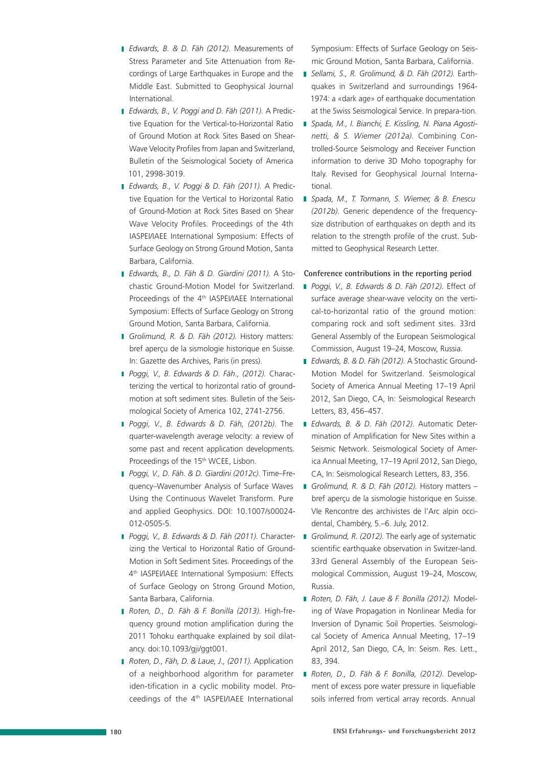- *Edwards, B. & D. Fäh (2012).* Measurements of Stress Parameter and Site Attenuation from Recordings of Large Earthquakes in Europe and the Middle East. Submitted to Geophysical Journal International.
- *Edwards, B., V. Poggi and D. Fäh (2011).* A Predictive Equation for the Vertical-to-Horizontal Ratio of Ground Motion at Rock Sites Based on Shear-Wave Velocity Profiles from Japan and Switzerland, Bulletin of the Seismological Society of America 101, 2998-3019.
- *Edwards, B., V. Poggi & D. Fäh (2011).* A Predictive Equation for the Vertical to Horizontal Ratio of Ground-Motion at Rock Sites Based on Shear Wave Velocity Profiles. Proceedings of the 4th IASPEI/IAEE International Symposium: Effects of Surface Geology on Strong Ground Motion, Santa Barbara, California.
- *Edwards, B., D. Fäh & D. Giardini (2011).* A Stochastic Ground-Motion Model for Switzerland. Proceedings of the 4<sup>th</sup> IASPEI/IAEE International Symposium: Effects of Surface Geology on Strong Ground Motion, Santa Barbara, California.
- *Grolimund, R. & D. Fäh (2012).* History matters: bref aperçu de la sismologie historique en Suisse. In: Gazette des Archives, Paris (in press).
- *Poggi, V., B. Edwards & D. Fäh., (2012).* Characterizing the vertical to horizontal ratio of groundmotion at soft sediment sites. Bulletin of the Seismological Society of America 102, 2741-2756.
- *Poggi, V., B. Edwards & D. Fäh, (2012b).* The quarter-wavelength average velocity: a review of some past and recent application developments. Proceedings of the 15<sup>th</sup> WCEE, Lisbon.
- *Poggi, V., D. Fäh. & D. Giardini (2012c).* Time–Frequency–Wavenumber Analysis of Surface Waves Using the Continuous Wavelet Transform. Pure and applied Geophysics. DOI: 10.1007/s00024- 012-0505-5.
- *Poggi, V., B. Edwards & D. Fäh (2011).* Characterizing the Vertical to Horizontal Ratio of Ground-Motion in Soft Sediment Sites. Proceedings of the 4th IASPEI/IAEE International Symposium: Effects of Surface Geology on Strong Ground Motion, Santa Barbara, California.
- *Roten, D., D. Fäh & F. Bonilla (2013).* High-frequency ground motion amplification during the 2011 Tohoku earthquake explained by soil dilatancy. doi:10.1093/gji/ggt001.
- *Roten, D., Fäh, D. & Laue, J., (2011).* Application of a neighborhood algorithm for parameter iden-tification in a cyclic mobility model. Proceedings of the 4th IASPEI/IAEE International

Symposium: Effects of Surface Geology on Seismic Ground Motion, Santa Barbara, California.

- *Sellami, S., R. Grolimund, & D. Fäh (2012).* Earthquakes in Switzerland and surroundings 1964- 1974: a «dark age» of earthquake documentation at the Swiss Seismological Service. In prepara-tion.
- *Spada, M., I. Bianchi, E. Kissling, N. Piana Agostinetti, & S. Wiemer (2012a).* Combining Controlled-Source Seismology and Receiver Function information to derive 3D Moho topography for Italy. Revised for Geophysical Journal International.
- *Spada, M., T. Tormann, S. Wiemer, & B. Enescu (2012b).* Generic dependence of the frequencysize distribution of earthquakes on depth and its relation to the strength profile of the crust. Submitted to Geophysical Research Letter.

#### **Conference contributions in the reporting period**

- *Poggi, V., B. Edwards & D. Fäh (2012).* Effect of surface average shear-wave velocity on the vertical-to-horizontal ratio of the ground motion: comparing rock and soft sediment sites. 33rd General Assembly of the European Seismological Commission, August 19–24, Moscow, Russia.
- *Edwards, B. & D. Fäh (2012).* A Stochastic Ground-Motion Model for Switzerland. Seismological Society of America Annual Meeting 17–19 April 2012, San Diego, CA, In: Seismological Research Letters, 83, 456–457.
- *Edwards, B. & D. Fäh (2012).* Automatic Determination of Amplification for New Sites within a Seismic Network. Seismological Society of America Annual Meeting, 17–19 April 2012, San Diego, CA, In: Seismological Research Letters, 83, 356.
- *Grolimund, R. & D. Fäh (2012).* History matters bref aperçu de la sismologie historique en Suisse. VIe Rencontre des archivistes de l'Arc alpin occidental, Chambéry, 5.–6. July, 2012.
- *Grolimund, R. (2012).* The early age of systematic scientific earthquake observation in Switzer-land. 33rd General Assembly of the European Seismological Commission, August 19–24, Moscow, Russia.
- *Roten, D. Fäh, J. Laue & F. Bonilla (2012).* Modeling of Wave Propagation in Nonlinear Media for Inversion of Dynamic Soil Properties. Seismological Society of America Annual Meeting, 17–19 April 2012, San Diego, CA, In: Seism. Res. Lett., 83, 394.
- *Roten, D., D. Fäh & F. Bonilla, (2012).* Development of excess pore water pressure in liquefiable soils inferred from vertical array records. Annual